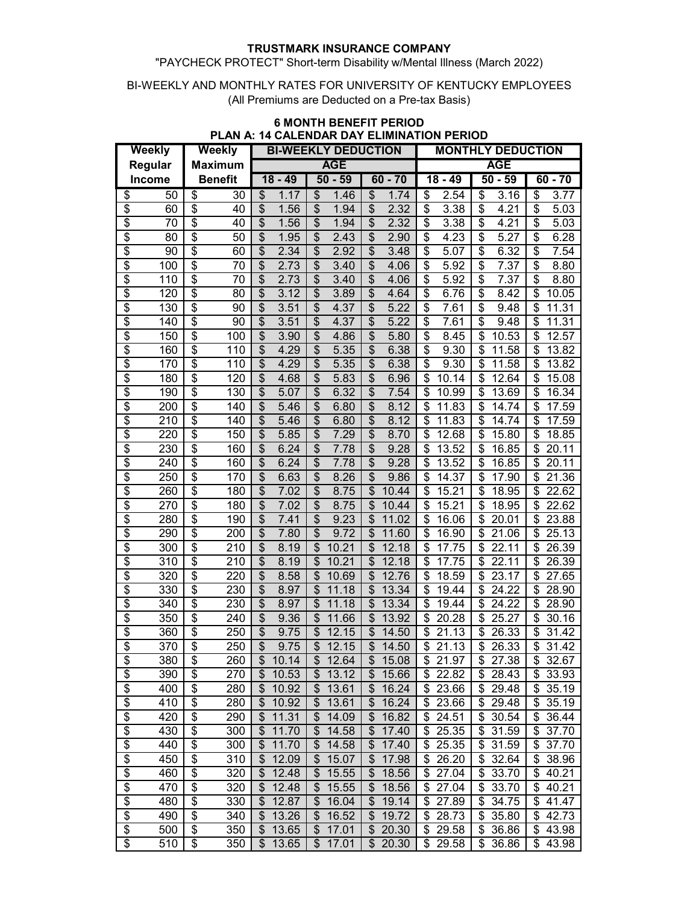## "PAYCHECK PROTECT" Short-term Disability w/Mental Illness (March 2022)

#### BI-WEEKLY AND MONTHLY RATES FOR UNIVERSITY OF KENTUCKY EMPLOYEES (All Premiums are Deducted on a Pre-tax Basis)

| Weekly                   |     | Weekly          |                | <b>BI-WEEKLY DEDUCTION</b>       |                                    |                                   | <b>MONTHLY DEDUCTION</b>                     |                         |             |
|--------------------------|-----|-----------------|----------------|----------------------------------|------------------------------------|-----------------------------------|----------------------------------------------|-------------------------|-------------|
| Regular                  |     | <b>Maximum</b>  |                | <b>AGE</b>                       |                                    | <b>AGE</b>                        |                                              |                         |             |
| Income                   |     |                 | <b>Benefit</b> | $18 - 49$                        | $50 - 59$                          | $60 - 70$                         | $18 - 49$                                    | $50 - 59$               | $60 - 70$   |
| \$                       | 50  | \$              | 30             | \$<br>1.17                       | \$<br>1.46                         | \$<br>1.74                        | 2.54<br>\$                                   | 3.16<br>\$              | \$<br>3.77  |
| $\overline{\mathcal{S}}$ | 60  | \$              | 40             | \$<br>1.56                       | \$<br>1.94                         | \$<br>2.32                        | \$<br>3.38                                   | \$<br>4.21              | \$<br>5.03  |
| $\overline{\$}$          | 70  | \$              | 40             | \$<br>1.56                       | \$<br>1.94                         | \$<br>2.32                        | \$<br>3.38                                   | \$<br>4.21              | \$<br>5.03  |
| $\overline{\mathcal{S}}$ | 80  | \$              | 50             | \$<br>1.95                       | $\boldsymbol{\mathsf{S}}$<br>2.43  | \$<br>2.90                        | \$<br>4.23                                   | \$<br>5.27              | \$<br>6.28  |
| $\overline{\$}$          | 90  | \$              | 60             | $\overline{\mathcal{S}}$<br>2.34 | $\overline{\mathcal{S}}$<br>2.92   | $\overline{\mathcal{S}}$<br>3.48  | $\overline{\mathcal{S}}$<br>5.07             | \$<br>6.32              | \$<br>7.54  |
| $\overline{\$}$          | 100 | $\overline{\$}$ | 70             | $\overline{\$}$<br>2.73          | $\overline{\mathcal{S}}$<br>3.40   | $\overline{\mathcal{S}}$<br>4.06  | $\overline{\boldsymbol{\mathsf{S}}}$<br>5.92 | $\overline{\$}$<br>7.37 | \$<br>8.80  |
| $\overline{\$}$          | 110 | \$              | 70             | $\overline{\mathcal{S}}$<br>2.73 | $\overline{\theta}$<br>3.40        | $\overline{\$}$<br>4.06           | $\overline{\mathcal{S}}$<br>5.92             | \$<br>7.37              | \$<br>8.80  |
| \$                       | 120 | \$              | 80             | $\overline{\mathcal{S}}$<br>3.12 | $\overline{\$}$<br>3.89            | \$<br>4.64                        | $\overline{\$}$<br>6.76                      | \$<br>8.42              | \$<br>10.05 |
| $\overline{\$}$          | 130 | \$              | 90             | $\overline{\mathcal{S}}$<br>3.51 | $\overline{\theta}$<br>4.37        | $\overline{\$}$<br>5.22           | $\overline{\boldsymbol{\mathsf{S}}}$<br>7.61 | \$<br>9.48              | \$<br>11.31 |
| \$                       | 140 | \$              | 90             | \$<br>3.51                       | $\overline{\mathcal{E}}$<br>4.37   | $\overline{\mathcal{S}}$<br>5.22  | $\overline{\boldsymbol{\mathsf{S}}}$<br>7.61 | \$<br>9.48              | 11.31<br>\$ |
| $\overline{\mathcal{S}}$ | 150 | \$              | 100            | $\overline{\mathcal{S}}$<br>3.90 | $\overline{\mathcal{S}}$<br>4.86   | $\overline{\mathcal{S}}$<br>5.80  | $\overline{\mathcal{S}}$<br>8.45             | \$<br>10.53             | \$<br>12.57 |
| $\overline{\$}$          | 160 | \$              | 110            | $\overline{\mathcal{S}}$<br>4.29 | $\overline{\mathcal{S}}$<br>5.35   | $\overline{\$}$<br>6.38           | $\overline{\$}$<br>9.30                      | \$<br>11.58             | \$<br>13.82 |
| $\overline{\$}$          | 170 | \$              | 110            | $\overline{\mathcal{S}}$<br>4.29 | $\overline{\theta}$<br>5.35        | $\overline{\mathcal{S}}$<br>6.38  | \$<br>9.30                                   | \$<br>11.58             | \$<br>13.82 |
| $\overline{\$}$          | 180 | \$              | 120            | $\overline{\mathcal{S}}$<br>4.68 | $\overline{\mathcal{S}}$<br>5.83   | $\overline{\mathcal{S}}$<br>6.96  | \$<br>10.14                                  | \$<br>12.64             | 15.08<br>\$ |
| $\overline{\$}$          | 190 | \$              | 130            | \$<br>5.07                       | $\overline{\mathcal{S}}$<br>6.32   | \$<br>7.54                        | \$<br>10.99                                  | \$<br>13.69             | 16.34<br>\$ |
| $\overline{\$}$          | 200 | \$              | 140            | \$<br>5.46                       | \$<br>6.80                         | \$<br>8.12                        | \$<br>11.83                                  | \$<br>14.74             | \$<br>17.59 |
| \$                       | 210 | \$              | 140            | \$<br>5.46                       | \$<br>6.80                         | \$<br>8.12                        | \$<br>11.83                                  | \$<br>14.74             | \$<br>17.59 |
| \$                       | 220 | \$              | 150            | \$<br>5.85                       | \$<br>7.29                         | \$<br>8.70                        | \$<br>12.68                                  | \$<br>15.80             | 18.85<br>\$ |
| $\overline{\mathcal{S}}$ | 230 | \$              | 160            | \$<br>6.24                       | \$<br>7.78                         | \$<br>9.28                        | \$<br>13.52                                  | \$<br>16.85             | \$<br>20.11 |
| $\overline{\$}$          | 240 | \$              | 160            | \$<br>6.24                       | \$<br>7.78                         | \$<br>9.28                        | \$<br>13.52                                  | \$<br>16.85             | 20.11<br>\$ |
| $\overline{\mathcal{S}}$ | 250 | \$              | 170            | \$<br>6.63                       | \$<br>8.26                         | \$<br>9.86                        | \$<br>14.37                                  | \$<br>17.90             | 21.36<br>\$ |
| \$                       | 260 | \$              | 180            | \$<br>7.02                       | \$<br>8.75                         | \$<br>10.44                       | \$<br>15.21                                  | \$<br>18.95             | 22.62<br>\$ |
| \$                       | 270 | \$              | 180            | \$<br>7.02                       | \$<br>8.75                         | \$<br>10.44                       | \$<br>15.21                                  | \$<br>18.95             | \$<br>22.62 |
| \$                       | 280 | \$              | 190            | \$<br>7.41                       | \$<br>9.23                         | \$<br>11.02                       | \$<br>16.06                                  | \$<br>20.01             | \$<br>23.88 |
| \$                       | 290 | \$              | 200            | \$<br>7.80                       | $\overline{\mathcal{S}}$<br>9.72   | $\overline{\mathcal{S}}$<br>11.60 | \$<br>16.90                                  | \$<br>21.06             | \$<br>25.13 |
| \$                       | 300 | \$              | 210            | \$<br>8.19                       | \$<br>10.21                        | \$<br>12.18                       | \$<br>17.75                                  | \$<br>22.11             | 26.39<br>\$ |
| $\overline{\mathcal{S}}$ | 310 | \$              | 210            | $\overline{\mathcal{S}}$<br>8.19 | $\boldsymbol{\mathsf{S}}$<br>10.21 | $\overline{\mathcal{S}}$<br>12.18 | \$<br>17.75                                  | \$<br>22.11             | \$<br>26.39 |
| $\overline{\$}$          | 320 | \$              | 220            | $\overline{\mathcal{S}}$<br>8.58 | \$<br>10.69                        | $\overline{\mathcal{S}}$<br>12.76 | \$<br>18.59                                  | \$<br>23.17             | \$<br>27.65 |
| $\overline{\$}$          | 330 | \$              | 230            | \$<br>8.97                       | $\frac{1}{2}$<br>11.18             | \$<br>13.34                       | \$<br>19.44                                  | \$<br>24.22             | \$<br>28.90 |
| \$                       | 340 | \$              | 230            | $\overline{\$}$<br>8.97          | $\overline{\mathcal{S}}$<br>11.18  | $\overline{\mathcal{S}}$<br>13.34 | \$<br>19.44                                  | \$<br>24.22             | \$<br>28.90 |
| \$                       | 350 | \$              | 240            | \$<br>9.36                       | \$<br>11.66                        | \$<br>13.92                       | \$<br>20.28                                  | \$<br>25.27             | \$<br>30.16 |
| \$                       | 360 | \$              | 250            | \$<br>9.75                       | $\overline{\mathcal{S}}$<br>12.15  | \$<br>14.50                       | \$<br>21.13                                  | \$<br>26.33             | \$<br>31.42 |
| Ŝ                        | 370 | $\overline{\$}$ | 250            | \$<br>9.75                       | $\overline{\theta}$<br>12.15       | $\overline{\$}$<br>14.50          | \$<br>21.13                                  | \$<br>26.33             | \$<br>31.42 |
| \$                       | 380 | \$              | 260            | 10.14<br>\$                      | 12.64<br>\$                        | \$<br>15.08                       | 21.97<br>\$                                  | 27.38<br>\$             | 32.67<br>\$ |
| $\overline{\$}$          | 390 | \$              | 270            | 10.53<br>\$                      | 13.12<br>\$                        | 15.66<br>\$                       | 22.82<br>\$                                  | 28.43<br>\$             | 33.93<br>\$ |
| $\overline{\mathcal{E}}$ | 400 | \$              | 280            | \$<br>10.92                      | 13.61<br>\$                        | \$<br>16.24                       | 23.66<br>\$                                  | \$<br>29.48             | 35.19<br>S  |
| \$                       | 410 | \$              | 280            | 10.92<br>\$                      | $\boldsymbol{\mathsf{S}}$<br>13.61 | \$<br>16.24                       | 23.66<br>\$                                  | \$<br>29.48             | 35.19<br>\$ |
| $\overline{\$}$          | 420 | \$              | 290            | \$<br>11.31                      | $\boldsymbol{\mathsf{S}}$<br>14.09 | \$<br>16.82                       | 24.51<br>\$                                  | \$<br>30.54             | 36.44<br>\$ |
| \$                       | 430 | \$              | 300            | \$<br>11.70                      | \$<br>14.58                        | \$<br>17.40                       | 25.35<br>\$                                  | \$<br>31.59             | 37.70<br>\$ |
| $\overline{\$}$          | 440 | \$              | 300            | \$<br>11.70                      | $\boldsymbol{\mathsf{S}}$<br>14.58 | \$<br>17.40                       | \$<br>25.35                                  | \$<br>31.59             | \$<br>37.70 |
| $\overline{\mathcal{E}}$ | 450 | \$              | 310            | \$<br>12.09                      | \$<br>15.07                        | \$<br>17.98                       | \$<br>26.20                                  | \$<br>32.64             | \$<br>38.96 |
| $\overline{\mathcal{E}}$ | 460 | \$              | 320            | \$<br>12.48                      | \$<br>15.55                        | \$<br>18.56                       | 27.04<br>\$                                  | \$<br>33.70             | \$<br>40.21 |
| $\overline{\$}$          | 470 | \$              | 320            | 12.48<br>\$                      | \$<br>15.55                        | \$<br>18.56                       | \$<br>27.04                                  | \$<br>33.70             | 40.21<br>\$ |
| $\overline{\$}$          | 480 | \$              | 330            | \$<br>12.87                      | $\boldsymbol{\mathsf{S}}$<br>16.04 | \$<br>19.14                       | \$<br>27.89                                  | \$34.75                 | \$<br>41.47 |
| \$                       | 490 | \$              | 340            | 13.26<br>\$                      | \$<br>16.52                        | \$<br>19.72                       | 28.73<br>\$                                  | 35.80<br>\$             | \$<br>42.73 |
| $\overline{\$}$          | 500 | \$              | 350            | 13.65<br>\$                      | $\frac{1}{2}$<br>17.01             | \$20.30                           | \$<br>29.58                                  | \$ 36.86                | \$<br>43.98 |
| \$                       | 510 | \$              | 350            | 13.65<br>\$                      | \$<br>17.01                        | $\frac{1}{2}$<br>20.30            | 29.58<br>\$                                  | \$36.86                 | 43.98<br>\$ |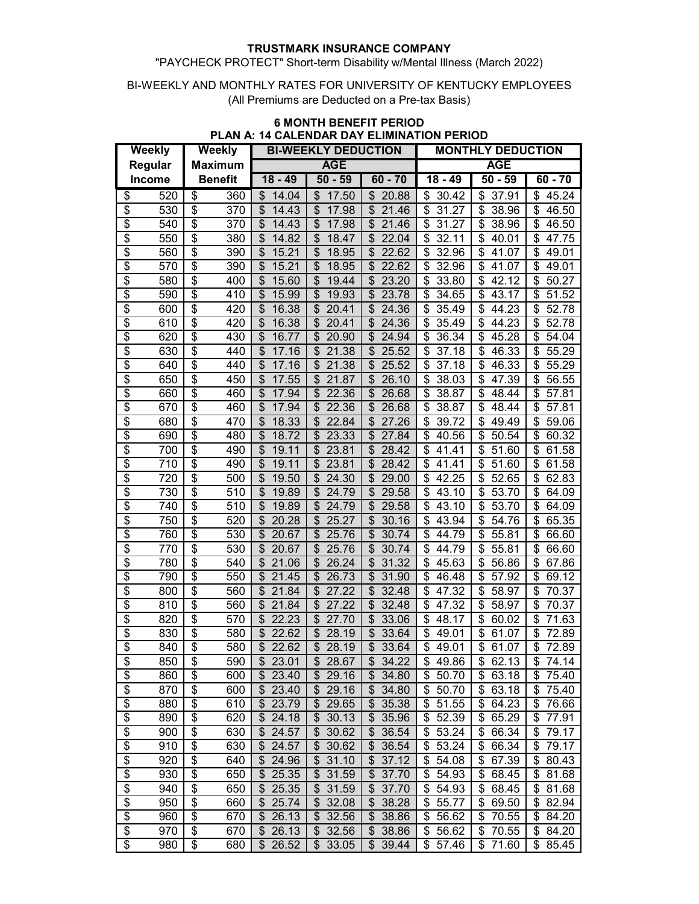## "PAYCHECK PROTECT" Short-term Disability w/Mental Illness (March 2022)

#### BI-WEEKLY AND MONTHLY RATES FOR UNIVERSITY OF KENTUCKY EMPLOYEES (All Premiums are Deducted on a Pre-tax Basis)

| Weekly                   |            | Weekly                   |            | <b>BI-WEEKLY DEDUCTION</b> |                                    |                                    | .<br><b>MONTHLY DEDUCTION</b>     |                                   |                      |  |
|--------------------------|------------|--------------------------|------------|----------------------------|------------------------------------|------------------------------------|-----------------------------------|-----------------------------------|----------------------|--|
| Regular                  |            | <b>Maximum</b>           |            | <b>AGE</b>                 |                                    |                                    |                                   | <b>AGE</b>                        |                      |  |
|                          | Income     | <b>Benefit</b>           |            | $18 - 49$                  | $50 - 59$                          | $60 - 70$                          | $18 - 49$                         | $50 - 59$                         | $60 - 70$            |  |
| \$                       | 520        | \$                       | 360        | 14.04<br>\$                | 17.50<br>\$                        | 20.88<br>\$                        | 30.42<br>\$                       | 37.91<br>\$                       | \$<br>45.24          |  |
| \$                       | 530        | \$                       | 370        | \$<br>14.43                | \$<br>17.98                        | \$<br>21.46                        | \$<br>31.27                       | \$<br>38.96                       | \$<br>46.50          |  |
| \$                       | 540        | \$                       | 370        | \$<br>14.43                | \$<br>17.98                        | \$<br>21.46                        | \$<br>31.27                       | \$<br>38.96                       | \$<br>46.50          |  |
| \$                       | 550        | \$                       | 380        | \$<br>14.82                | $\boldsymbol{\mathsf{S}}$<br>18.47 | \$<br>22.04                        | \$<br>32.11                       | \$<br>40.01                       | \$<br>47.75          |  |
| \$                       | 560        | \$                       | 390        | 15.21<br>\$                | \$<br>18.95                        | \$<br>22.62                        | \$<br>32.96                       | \$<br>41.07                       | \$<br>49.01          |  |
| \$                       | 570        | \$                       | 390        | \$<br>15.21                | \$<br>18.95                        | \$<br>22.62                        | \$<br>32.96                       | \$<br>41.07                       | \$<br>49.01          |  |
| \$                       | 580        | \$                       | 400        | 15.60<br>\$                | \$<br>19.44                        | \$<br>23.20                        | \$<br>33.80                       | \$<br>42.12                       | \$<br>50.27          |  |
| \$                       | 590        | \$                       | 410        | \$<br>15.99                | \$<br>19.93                        | $\boldsymbol{\mathsf{S}}$<br>23.78 | \$<br>34.65                       | \$<br>43.17                       | \$<br>51.52          |  |
| $\overline{\$}$          | 600        | \$                       | 420        | \$<br>16.38                | \$<br>20.41                        | \$<br>24.36                        | \$<br>35.49                       | \$<br>44.23                       | \$<br>52.78          |  |
| \$                       | 610        | \$                       | 420        | \$<br>16.38                | \$<br>20.41                        | \$<br>24.36                        | \$<br>35.49                       | \$<br>44.23                       | \$<br>52.78          |  |
| \$                       | 620        | \$                       | 430        | \$<br>16.77                | \$<br>20.90                        | \$<br>24.94                        | 36.34<br>\$                       | 45.28<br>\$                       | \$<br>54.04          |  |
| \$                       | 630        | \$                       | 440        | \$<br>17.16                | \$<br>21.38                        | \$<br>25.52                        | \$<br>37.18                       | \$<br>46.33                       | \$<br>55.29          |  |
| \$                       | 640        | \$                       | 440        | \$<br>17.16                | 21.38<br>\$                        | \$<br>25.52                        | \$<br>37.18                       | \$<br>46.33                       | \$<br>55.29          |  |
| \$                       | 650        | \$                       | 450        | 17.55<br>\$                | \$<br>21.87                        | \$                                 | \$                                | \$<br>47.39                       | \$<br>56.55          |  |
| \$                       | 660        | \$                       | 460        | \$<br>17.94                | \$<br>22.36                        | 26.10<br>\$<br>26.68               | 38.03<br>\$<br>38.87              | \$<br>48.44                       | 57.81<br>\$          |  |
| \$                       | 670        | \$                       | 460        | 17.94<br>\$                | \$<br>22.36                        | \$<br>26.68                        | \$<br>38.87                       | \$<br>48.44                       | \$<br>57.81          |  |
| \$                       |            | \$                       | 470        | \$<br>18.33                | \$<br>22.84                        | \$<br>27.26                        |                                   | \$<br>49.49                       | \$                   |  |
|                          | 680        | \$                       |            | \$                         |                                    | \$<br>27.84                        | \$<br>39.72<br>\$                 | 50.54                             | 59.06<br>\$          |  |
| \$<br>$\overline{\$}$    | 690<br>700 | $\overline{\$}$          | 480<br>490 | 18.72<br>\$<br>19.11       | \$<br>23.33<br>\$<br>23.81         | \$<br>28.42                        | 40.56<br>\$<br>41.41              | \$<br>\$<br>51.60                 | 60.32<br>\$<br>61.58 |  |
| \$                       | 710        | $\overline{\$}$          | 490        | $\mathfrak{S}$<br>19.11    | $\frac{1}{2}$<br>23.81             | $\overline{\mathcal{S}}$<br>28.42  | $\overline{\mathcal{S}}$<br>41.41 | $\overline{\mathcal{S}}$<br>51.60 | \$                   |  |
|                          |            | \$                       |            | \$                         | \$                                 | \$                                 |                                   |                                   | 61.58<br>\$          |  |
| \$                       | 720        |                          | 500        | 19.50                      | 24.30                              | 29.00                              | \$<br>42.25                       | \$<br>52.65                       | 62.83                |  |
| \$                       | 730        | \$                       | 510        | \$<br>19.89                | $\overline{\mathcal{E}}$<br>24.79  | $\overline{\mathcal{S}}$<br>29.58  | \$<br>$\overline{4}3.10$          | \$<br>53.70                       | \$<br>64.09          |  |
| \$                       | 740        | \$                       | 510        | \$<br>19.89                | \$<br>24.79                        | $\overline{\mathcal{S}}$<br>29.58  | \$<br>43.10                       | \$<br>53.70                       | \$<br>64.09          |  |
| $\overline{\$}$          | 750        | \$                       | 520        | \$<br>20.28                | $\overline{\mathcal{S}}$<br>25.27  | $\overline{\mathcal{S}}$<br>30.16  | \$<br>43.94                       | \$<br>54.76                       | \$<br>65.35          |  |
| \$                       | 760        | \$                       | 530        | \$<br>20.67                | \$<br>25.76                        | \$<br>30.74                        | \$<br>44.79                       | \$<br>55.81                       | \$<br>66.60          |  |
| $\overline{\$}$          | 770        | \$                       | 530        | \$<br>20.67                | \$<br>25.76                        | \$<br>30.74                        | \$<br>44.79                       | \$<br>55.81                       | \$<br>66.60          |  |
| \$                       | 780        | $\overline{\mathcal{S}}$ | 540        | \$<br>21.06                | \$<br>26.24                        | \$<br>31.32                        | \$<br>45.63                       | \$<br>56.86                       | \$<br>67.86          |  |
| \$                       | 790        | \$                       | 550        | 21.45<br>\$                | \$<br>26.73                        | \$<br>31.90                        | \$<br>46.48                       | \$<br>57.92                       | \$<br>69.12          |  |
| \$                       | 800        | \$                       | 560        | \$<br>21.84                | \$<br>27.22                        | \$<br>32.48                        | \$<br>47.32                       | \$<br>58.97                       | \$<br>70.37          |  |
| \$                       | 810        | \$                       | 560        | \$<br>21.84                | 27.22<br>\$                        | \$<br>32.48                        | \$<br>47.32                       | 58.97<br>\$                       | \$<br>70.37          |  |
| \$                       | 820        | \$                       | 570        | \$<br>22.23                | \$<br>27.70                        | \$<br>33.06                        | \$<br>48.17                       | \$<br>60.02                       | \$<br>71.63          |  |
| \$                       | 830        | \$                       | 580        | 22.62<br>\$                | \$<br>28.19                        | \$<br>33.64                        | \$<br>49.01                       | \$<br>61.07                       | \$<br>72.89          |  |
| \$                       | 840        | \$                       | 580        | \$<br>22.62                | \$<br>28.19                        | $\mathfrak{L}$<br>33.64            | \$<br>49.01                       | \$<br>61.07                       | \$<br>72.89          |  |
| \$                       | 850        | \$                       | 590        | \$23.01                    | \$28.67                            | \$34.22                            | \$49.86                           | \$62.13                           | \$<br>74.14          |  |
| \$                       | 860        | \$                       | 600        | 23.40<br>\$                | \$<br>29.16                        | \$34.80                            | 50.70<br>\$                       | \$63.18                           | \$<br>75.40          |  |
| $\overline{\$}$          | 870        | \$                       | 600        | 23.40<br>\$                | 29.16<br>\$                        | \$34.80                            | 50.70<br>\$                       | 63.18<br>\$                       | 75.40<br>\$          |  |
| $\overline{\mathcal{E}}$ | 880        | \$                       | 610        | 23.79<br>\$                | $\frac{1}{2}$<br>29.65             | \$35.38                            | 51.55<br>\$                       | \$64.23                           | 76.66<br>\$          |  |
| $\overline{\mathcal{E}}$ | 890        | \$                       | 620        | 24.18<br>\$                | 30.13<br>\$                        | $\frac{1}{2}$<br>35.96             | 52.39<br>\$                       | \$65.29                           | \$<br>77.91          |  |
| $\overline{\mathcal{E}}$ | 900        | \$                       | 630        | 24.57<br>\$                | \$<br>30.62                        | \$36.54                            | 53.24<br>\$                       | \$ 66.34                          | \$<br>79.17          |  |
| $\overline{\mathcal{E}}$ | 910        | \$                       | 630        | 24.57<br>\$                | 30.62<br>\$                        | \$36.54                            | 53.24<br>\$                       | \$ 66.34                          | \$<br>79.17          |  |
| $\overline{\$}$          | 920        | \$                       | 640        | \$24.96                    | 31.10<br>\$                        | \$37.12                            | \$<br>54.08                       | \$67.39                           | \$80.43              |  |
| \$                       | 930        | \$                       | 650        | 25.35<br>\$                | 31.59<br>\$                        | \$37.70                            | 54.93<br>\$                       | \$68.45                           | \$<br>81.68          |  |
| $\overline{\$}$          | 940        | \$                       | 650        | 25.35<br>\$                | \$<br>31.59                        | \$37.70                            | 54.93<br>\$                       | \$68.45                           | \$<br>81.68          |  |
| \$                       | 950        | $\overline{\mathcal{E}}$ | 660        | 25.74<br>\$                | 32.08<br>\$                        | $\overline{\$}$ 38.28              | 55.77<br>\$                       | \$69.50                           | 82.94<br>\$          |  |
| \$                       | 960        | $\overline{\mathcal{E}}$ | 670        | 26.13<br>\$                | 32.56<br>\$                        | \$38.86                            | 56.62<br>\$                       | \$70.55                           | \$<br>84.20          |  |
| \$                       | 970        | \$                       | 670        | \$26.13                    | 32.56<br>\$                        | \$38.86                            | \$56.62                           | \$70.55                           | \$<br>84.20          |  |
| $\overline{\$}$          | 980        | \$                       | 680        | \$26.52                    | $\overline{\$}$ 33.05              | \$39.44                            | \$57.46                           | \$71.60                           | \$85.45              |  |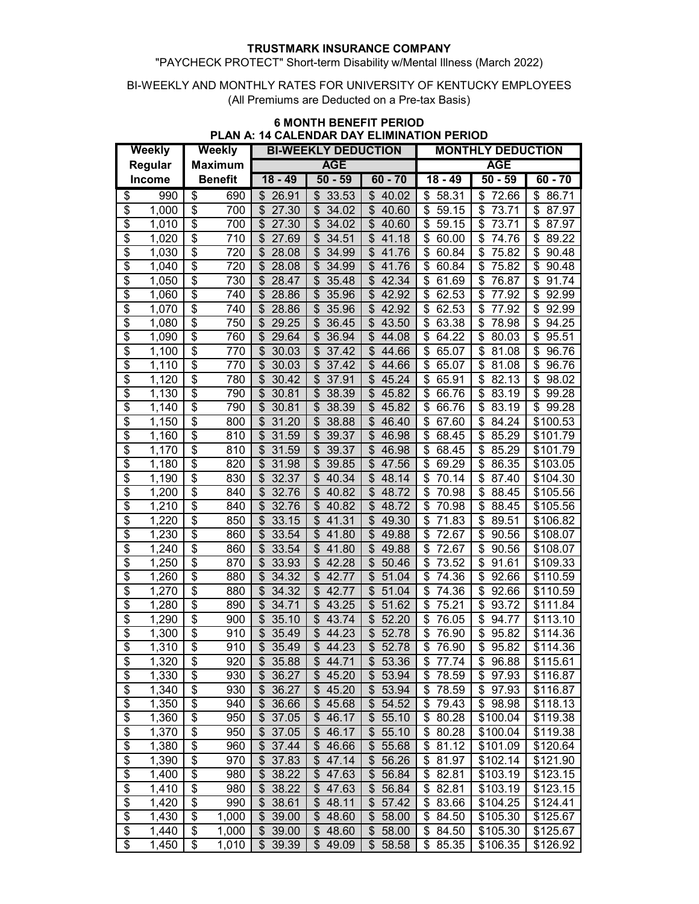## "PAYCHECK PROTECT" Short-term Disability w/Mental Illness (March 2022)

#### BI-WEEKLY AND MONTHLY RATES FOR UNIVERSITY OF KENTUCKY EMPLOYEES (All Premiums are Deducted on a Pre-tax Basis)

| <b>Weekly</b>            |                    | 53 A.U<br><b>Weekly</b>              |       | FUALLINDAN DAT LLIIWIINATION FLNIOD<br><b>BI-WEEKLY DEDUCTION</b> |                                    |                                    | <b>MONTHLY DEDUCTION</b>           |                          |             |  |
|--------------------------|--------------------|--------------------------------------|-------|-------------------------------------------------------------------|------------------------------------|------------------------------------|------------------------------------|--------------------------|-------------|--|
| Regular                  |                    | <b>Maximum</b>                       |       |                                                                   | <b>AGE</b>                         |                                    | <b>AGE</b>                         |                          |             |  |
|                          | <b>Income</b>      | <b>Benefit</b>                       |       | $18 - 49$                                                         | $50 - 59$                          | $60 - 70$                          | $18 - 49$                          | $50 - 59$                | $60 - 70$   |  |
|                          |                    |                                      |       |                                                                   |                                    |                                    |                                    |                          |             |  |
| \$                       | 990                | \$                                   | 690   | 26.91<br>\$                                                       | 33.53<br>\$                        | \$<br>40.02                        | 58.31<br>\$                        | \$<br>72.66              | \$<br>86.71 |  |
| $\overline{\mathcal{S}}$ | 1,000              | $\overline{\mathbf{e}}$              | 700   | 27.30<br>\$                                                       | $\boldsymbol{\mathsf{S}}$<br>34.02 | $\boldsymbol{\mathsf{S}}$<br>40.60 | \$<br>59.15                        | \$<br>73.71              | \$<br>87.97 |  |
| \$                       | 1,010              | $\overline{\boldsymbol{\mathsf{s}}}$ | 700   | \$<br>27.30                                                       | \$<br>34.02                        | \$<br>40.60                        | \$<br>59.15                        | \$<br>73.71              | \$<br>87.97 |  |
| \$                       | 1,020              | \$                                   | 710   | \$<br>27.69                                                       | $\boldsymbol{\mathsf{S}}$<br>34.51 | \$<br>41.18                        | \$<br>60.00                        | \$<br>74.76              | \$<br>89.22 |  |
| \$                       | 1,030              | \$                                   | 720   | 28.08<br>\$                                                       | $\boldsymbol{\mathsf{S}}$<br>34.99 | \$<br>41.76                        | \$<br>60.84                        | \$<br>75.82              | \$<br>90.48 |  |
| $\overline{\$}$          | 1,040              | $\overline{\mathcal{E}}$             | 720   | \$<br>28.08                                                       | $\boldsymbol{\mathsf{S}}$<br>34.99 | $\overline{\mathcal{S}}$<br>41.76  | \$<br>60.84                        | \$<br>75.82              | \$<br>90.48 |  |
| $\overline{\$}$          | 1,050              | $\overline{\boldsymbol{\mathsf{s}}}$ | 730   | \$<br>28.47                                                       | \$<br>35.48                        | $\overline{\mathcal{S}}$<br>42.34  | \$<br>61.69                        | \$<br>76.87              | \$<br>91.74 |  |
| $\overline{\$}$          | 1,060              | \$                                   | 740   | \$<br>28.86                                                       | $\frac{1}{2}$<br>35.96             | \$<br>42.92                        | \$<br>62.53                        | \$<br>77.92              | \$<br>92.99 |  |
| $\overline{\$}$          | 1,070              | $\overline{\mathcal{E}}$             | 740   | \$<br>28.86                                                       | $\boldsymbol{\mathsf{S}}$<br>35.96 | \$<br>42.92                        | \$<br>62.53                        | \$<br>77.92              | \$<br>92.99 |  |
| $\overline{\mathcal{S}}$ | 1,080              | \$                                   | 750   | \$<br>29.25                                                       | \$<br>36.45                        | \$<br>43.50                        | \$<br>63.38                        | \$<br>78.98              | \$<br>94.25 |  |
| $\overline{\mathcal{S}}$ | 1,090              | \$                                   | 760   | \$<br>29.64                                                       | \$<br>36.94                        | \$<br>44.08                        | \$<br>64.22                        | \$<br>80.03              | \$<br>95.51 |  |
| \$                       | 1,100              | \$                                   | 770   | \$<br>30.03                                                       | \$<br>37.42                        | \$<br>44.66                        | \$<br>65.07                        | \$<br>81.08              | \$<br>96.76 |  |
| \$                       | 1,110              | \$                                   | 770   | \$<br>30.03                                                       | \$<br>37.42                        | \$<br>44.66                        | \$<br>65.07                        | \$<br>81.08              | \$<br>96.76 |  |
| $\overline{\mathcal{S}}$ | 1,120              | \$                                   | 780   | \$<br>30.42                                                       | $\mathfrak{S}$<br>37.91            | \$<br>45.24                        | \$<br>65.91                        | \$<br>82.13              | \$<br>98.02 |  |
| $\overline{\$}$          | 1,130              | \$                                   | 790   | \$<br>30.81                                                       | $\mathfrak{S}$<br>38.39            | \$<br>45.82                        | \$<br>66.76                        | \$<br>83.19              | \$<br>99.28 |  |
| $\overline{\mathcal{S}}$ | 1,140              | \$                                   | 790   | \$<br>30.81                                                       | $\boldsymbol{\mathsf{S}}$<br>38.39 | \$<br>45.82                        | \$<br>66.76                        | \$<br>83.19              | \$<br>99.28 |  |
| $\overline{\mathcal{S}}$ | 1,150              | $\overline{\mathcal{E}}$             | 800   | \$<br>31.20                                                       | $\boldsymbol{\mathsf{S}}$<br>38.88 | \$<br>46.40                        | \$<br>67.60                        | \$<br>84.24              | \$100.53    |  |
| $\overline{\mathcal{S}}$ | 1,160              | $\overline{\boldsymbol{\mathsf{s}}}$ | 810   | \$<br>31.59                                                       | $\boldsymbol{\mathsf{S}}$<br>39.37 | \$<br>46.98                        | \$<br>68.45                        | \$<br>85.29              | \$101.79    |  |
| $\overline{\$}$          | 1,170              | $\overline{\$}$                      | 810   | \$<br>31.59                                                       | $\mathfrak{S}$<br>39.37            | $\overline{\mathcal{S}}$<br>46.98  | $\overline{\mathcal{S}}$<br>68.45  | \$<br>85.29              | \$101.79    |  |
| $\overline{\$}$          | $\overline{1,}180$ | \$                                   | 820   | 31.98<br>\$                                                       | $\overline{\mathcal{E}}$<br>39.85  | $\overline{\mathcal{E}}$<br>47.56  | $\overline{\$}$<br>69.29           | \$<br>86.35              | \$103.05    |  |
| $\overline{\$}$          | 1,190              | \$                                   | 830   | 32.37<br>\$                                                       | $\boldsymbol{\mathsf{S}}$<br>40.34 | $\overline{\mathcal{S}}$<br>48.14  | \$<br>70.14                        | \$<br>87.40              | \$104.30    |  |
| $\overline{\$}$          | 1,200              | $\overline{\boldsymbol{\mathsf{S}}}$ | 840   | $\overline{\mathcal{S}}$<br>32.76                                 | $\overline{\mathcal{S}}$<br>40.82  | $\overline{\$}$<br>48.72           | $\overline{\mathcal{S}}$<br>70.98  | $\overline{\$}$<br>88.45 | \$105.56    |  |
| $\overline{\$}$          | 1,210              | $\overline{\$}$                      | 840   | \$<br>32.76                                                       | $\overline{\mathcal{S}}$<br>40.82  | $\overline{\$}$<br>48.72           | $\overline{\mathcal{S}}$<br>70.98  | \$<br>88.45              | \$105.56    |  |
| \$                       | 1,220              | $\overline{\$}$                      | 850   | \$<br>33.15                                                       | $\overline{\mathcal{S}}$<br>41.31  | $\overline{\$}$<br>49.30           | $\overline{\$}$<br>71.83           | \$<br>89.51              | \$106.82    |  |
| $\overline{\$}$          | 1,230              | $\overline{\boldsymbol{\mathsf{s}}}$ | 860   | \$<br>33.54                                                       | $\boldsymbol{\mathsf{S}}$<br>41.80 | \$<br>49.88                        | \$<br>72.67                        | \$<br>90.56              | \$108.07    |  |
| \$                       | 1,240              | $\overline{\boldsymbol{\mathsf{s}}}$ | 860   | \$<br>33.54                                                       | $\boldsymbol{\mathsf{S}}$<br>41.80 | \$<br>49.88                        | \$<br>72.67                        | \$<br>90.56              | \$108.07    |  |
| \$                       | 1,250              | \$                                   | 870   | \$<br>33.93                                                       | $\boldsymbol{\mathsf{S}}$<br>42.28 | \$<br>50.46                        | \$<br>73.52                        | \$<br>91.61              | \$109.33    |  |
| $\overline{\$}$          | 1,260              | \$                                   | 880   | 34.32<br>\$                                                       | \$<br>42.77                        | \$<br>51.04                        | \$<br>74.36                        | \$<br>92.66              | \$110.59    |  |
| \$                       | 1,270              | \$                                   | 880   | \$<br>34.32                                                       | \$<br>42.77                        | \$<br>51.04                        | \$<br>74.36                        | \$<br>92.66              | \$110.59    |  |
| \$                       | 1,280              | \$                                   | 890   | \$<br>34.71                                                       | 43.25<br>\$                        | \$<br>51.62                        | \$<br>75.21                        | \$<br>93.72              | \$111.84    |  |
| $\overline{\mathcal{E}}$ | 1,290              | \$                                   | 900   | \$<br>35.10                                                       | $\mathfrak{S}$<br>43.74            | $\mathfrak{S}$<br>52.20            | \$<br>76.05                        | \$<br>94.77              | \$113.10    |  |
| \$                       | 1,300              | \$                                   | 910   | \$<br>35.49                                                       | \$<br>44.23                        | $\overline{\mathcal{E}}$<br>52.78  | \$<br>76.90                        | \$<br>95.82              | \$114.36    |  |
| $\overline{\$}$          | 1,310              | $\overline{\$}$                      | 910   | \$35.49                                                           | $\sqrt{2}$<br>44.23                | 52.78                              | \$<br>76.90                        | \$<br>95.82              | \$114.36    |  |
| \$                       | 1,320              | \$                                   | 920   | 35.88<br>\$                                                       | \$44.71                            | \$53.36                            | 77.74<br>\$                        | \$96.88                  | \$115.61    |  |
| $\overline{\mathcal{E}}$ | 1,330              | \$                                   | 930   | \$<br>36.27                                                       | \$45.20                            | \$53.94                            | $\boldsymbol{\mathsf{s}}$<br>78.59 | \$97.93                  | \$116.87    |  |
| $\overline{\$}$          | 1,340              | \$                                   | 930   | 36.27<br>\$                                                       | \$<br>45.20                        | $\frac{1}{2}$<br>53.94             | \$<br>78.59                        | \$97.93                  | \$116.87    |  |
| $\overline{\$}$          | 1,350              | \$                                   | 940   | 36.66<br>\$                                                       | \$<br>45.68                        | $\frac{1}{2}$<br>54.52             | \$<br>79.43                        | \$98.98                  | \$118.13    |  |
| $\overline{\$}$          | 1,360              | \$                                   | 950   | 37.05<br>\$                                                       | \$<br>46.17                        | $\frac{1}{2}$<br>55.10             | \$<br>80.28                        | \$100.04                 | \$119.38    |  |
|                          | 1,370              | \$                                   | 950   | \$<br>37.05                                                       | \$46.17                            | \$55.10                            | \$80.28                            | \$100.04                 | \$119.38    |  |
| $rac{6}{3}$              | 1,380              | \$                                   | 960   | 37.44<br>\$                                                       | \$<br>46.66                        | $\overline{\$}$ 55.68              | \$<br>81.12                        | \$101.09                 | \$120.64    |  |
| \$                       | 1,390              | \$                                   | 970   | 37.83<br>\$                                                       | \$47.14                            | \$56.26                            | \$<br>81.97                        | \$102.14                 | \$121.90    |  |
| $\overline{\$}$          | 1,400              | \$                                   | 980   | 38.22<br>\$                                                       | 47.63<br>\$                        | \$56.84                            | \$<br>82.81                        | \$103.19                 | \$123.15    |  |
| $\overline{\$}$          | 1,410              | \$                                   | 980   | 38.22<br>\$                                                       | \$<br>47.63                        | \$56.84                            | \$<br>82.81                        | \$103.19                 | \$123.15    |  |
| \$                       | 1,420              | \$                                   | 990   | 38.61<br>\$                                                       | \$<br>48.11                        | $\frac{1}{2}$<br>57.42             | \$<br>83.66                        | \$104.25                 | \$124.41    |  |
| $\overline{\$}$          | 1,430              | \$                                   | 1,000 | 39.00<br>\$                                                       | \$<br>48.60                        | \$<br>58.00                        | \$<br>84.50                        | \$105.30                 | \$125.67    |  |
| $\overline{\$}$          | 1,440              | \$                                   | 1,000 | 39.00<br>\$                                                       | 48.60<br>\$                        | 58.00<br>$\frac{1}{2}$             | 84.50<br>\$                        | \$105.30                 | \$125.67    |  |
| \$                       | 1,450              | \$                                   | 1,010 | \$39.39                                                           | $\sqrt{$}49.09$                    | \$58.58                            | \$85.35                            | \$106.35                 | \$126.92    |  |
|                          |                    |                                      |       |                                                                   |                                    |                                    |                                    |                          |             |  |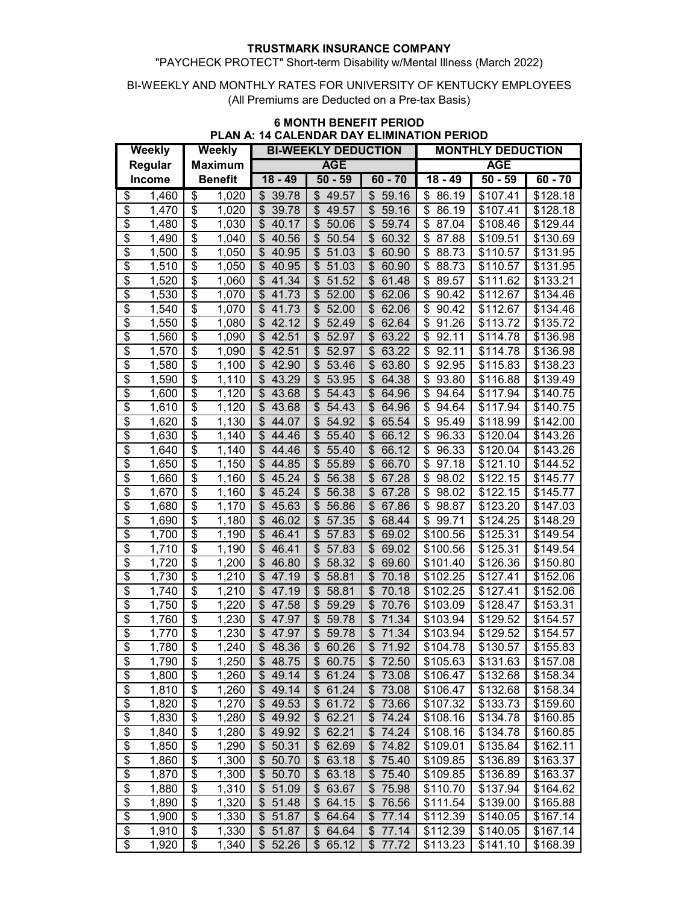## "PAYCHECK PROTECT" Short-term Disability w/Mental Illness (March 2022)

#### BI-WEEKLY AND MONTHLY RATES FOR UNIVERSITY OF KENTUCKY EMPLOYEES (All Premiums are Deducted on a Pre-tax Basis)

| <b>Weekly</b>            |       | <b>Weekly</b>                        |                     | FUALLINDAIN DAT LLIIVIIINATION FLINIOD<br><b>BI-WEEKLY DEDUCTION</b> |                                   |                                    | <b>MONTHLY DEDUCTION</b>                               |                      |                      |  |
|--------------------------|-------|--------------------------------------|---------------------|----------------------------------------------------------------------|-----------------------------------|------------------------------------|--------------------------------------------------------|----------------------|----------------------|--|
| Regular                  |       | <b>Maximum</b>                       |                     |                                                                      | <b>AGE</b>                        |                                    | <b>AGE</b>                                             |                      |                      |  |
| Income                   |       | <b>Benefit</b>                       |                     | $18 - 49$                                                            | $50 - 59$                         | $60 - 70$                          | $18 - 49$                                              | $50 - 59$            | $60 - 70$            |  |
|                          |       |                                      |                     |                                                                      |                                   |                                    |                                                        |                      |                      |  |
| \$                       | 1,460 | \$                                   | 1,020               | 39.78<br>\$                                                          | 49.57<br>\$                       | \$<br>59.16                        | 86.19<br>\$                                            | \$107.41             | \$128.18             |  |
| $\overline{\mathcal{S}}$ | 1,470 | \$                                   | 1,020               | 39.78<br>\$                                                          | \$<br>49.57                       | \$<br>59.16                        | \$<br>86.19                                            | \$107.41             | \$128.18             |  |
| \$                       | 1,480 | \$                                   | 1,030               | \$<br>40.17                                                          | \$<br>50.06                       | \$<br>59.74                        | \$<br>87.04                                            | \$108.46             | \$129.44             |  |
| \$                       | 1,490 | \$                                   | 1,040               | \$<br>40.56                                                          | \$<br>50.54                       | $\overline{\mathcal{S}}$<br>60.32  | \$<br>87.88                                            | \$109.51             | \$130.69             |  |
| $\overline{\mathcal{S}}$ | 1,500 | \$                                   | 1,050               | \$<br>40.95                                                          | \$<br>51.03                       | \$<br>60.90                        | \$<br>88.73                                            | \$110.57             | \$131.95             |  |
| $\overline{\$}$          | 1,510 | \$                                   | 1,050               | $\boldsymbol{\mathsf{S}}$<br>40.95                                   | \$<br>51.03                       | $\overline{\mathcal{S}}$<br>60.90  | \$<br>88.73                                            | \$110.57             | \$131.95             |  |
| $\overline{\$}$          | 1,520 | $\overline{\mathcal{E}}$             | 1,060               | 41.34<br>\$                                                          | \$<br>51.52                       | $\overline{\mathcal{S}}$<br>61.48  | \$<br>89.57                                            | \$111.62             | \$133.21             |  |
| $\overline{\$}$          | 1,530 | $\overline{\boldsymbol{\mathsf{s}}}$ | 1,070               | \$<br>41.73                                                          | \$<br>52.00                       | \$<br>62.06                        | \$<br>90.42                                            | \$112.67             | \$134.46             |  |
| $\overline{\$}$          | 1,540 | $\overline{\mathcal{E}}$             | 1,070               | \$<br>41.73                                                          | \$<br>52.00                       | \$<br>62.06                        | \$<br>90.42                                            | \$112.67             | \$134.46             |  |
| \$                       | 1,550 | \$                                   | 1,080               | \$<br>42.12                                                          | \$<br>52.49                       | \$<br>62.64                        | \$<br>91.26                                            | \$113.72             | \$135.72             |  |
| \$                       | 1,560 | \$                                   | 1,090               | 42.51<br>\$                                                          | \$<br>52.97                       | \$<br>63.22                        | \$<br>92.11                                            | \$114.78             | \$136.98             |  |
| \$                       | 1,570 | \$                                   | 1,090               | \$<br>42.51                                                          | \$<br>52.97                       | \$<br>63.22                        | \$<br>92.11                                            | \$114.78             | \$136.98             |  |
| \$                       | 1,580 | \$                                   | 1,100               | \$<br>42.90                                                          | \$<br>53.46                       | \$<br>63.80                        | \$<br>92.95                                            | \$115.83             | \$138.23             |  |
| $\overline{\mathcal{S}}$ | 1,590 | \$                                   | 1,110               | 43.29<br>\$                                                          | \$<br>53.95                       | \$<br>64.38                        | \$<br>93.80                                            | \$116.88             | \$139.49             |  |
| $\overline{\$}$          | 1,600 | \$                                   | 1,120               | \$<br>43.68                                                          | \$<br>54.43                       | $\boldsymbol{\mathsf{S}}$<br>64.96 | \$<br>94.64                                            | \$117.94             | \$140.75             |  |
| $\overline{\mathcal{S}}$ | 1,610 | \$                                   | 1,120               | \$<br>43.68                                                          | \$<br>54.43                       | \$<br>64.96                        | \$<br>94.64                                            | \$117.94             | \$140.75             |  |
| $\overline{\mathcal{S}}$ | 1,620 | $\overline{\mathcal{E}}$             | 1,130               | \$<br>44.07                                                          | \$<br>54.92                       | \$<br>65.54                        | \$<br>95.49                                            | \$118.99             | \$142.00             |  |
| $\overline{\mathcal{S}}$ | 1,630 | $\overline{\boldsymbol{\theta}}$     | 1,140               | \$<br>44.46                                                          | \$<br>55.40                       | \$<br>66.12                        | \$<br>96.33                                            | \$120.04             | \$143.26             |  |
| $\overline{\$}$          | 1,640 | $\overline{\$}$                      | $\overline{1,}140$  | \$<br>44.46                                                          | \$<br>55.40                       | $\overline{\mathcal{E}}$<br>66.12  | $\overline{\boldsymbol{\theta}}$<br>$\overline{96.33}$ | \$120.04             | \$143.26             |  |
| \$                       | 1,650 | $\overline{\$}$                      | 1,150               | \$<br>44.85                                                          | $\overline{\mathcal{S}}$<br>55.89 | $\overline{\mathcal{S}}$<br>66.70  | $\overline{\$}$<br>97.18                               | \$121.10             | \$144.52             |  |
| $\overline{\$}$          | 1,660 | $\overline{\boldsymbol{\theta}}$     | 1,160               | \$<br>45.24                                                          | \$<br>56.38                       | $\overline{\mathcal{S}}$<br>67.28  | \$<br>98.02                                            | \$122.15             | \$145.77             |  |
| $\overline{\$}$          | 1,670 | $\overline{\mathbf{3}}$              | 1,160               | \$<br>45.24                                                          | $\overline{\mathcal{E}}$<br>56.38 | $\overline{\$}$<br>67.28           | $\overline{\boldsymbol{\theta}}$<br>98.02              | $\overline{$}122.15$ | $\overline{$}145.77$ |  |
| $\overline{\$}$          | 1,680 | $\overline{\$}$                      | $\overline{1}, 170$ | \$<br>45.63                                                          | $\overline{\mathcal{S}}$<br>56.86 | $\overline{\$}$<br>67.86           | $\overline{\boldsymbol{\theta}}$<br>98.87              | \$123.20             | $\sqrt{$147.03}$     |  |
| $\overline{\$}$          | 1,690 | $\overline{\$}$                      | 1,180               | \$<br>46.02                                                          | $\overline{\theta}$<br>57.35      | $\overline{\mathcal{S}}$<br>68.44  | $\overline{\$}$<br>99.71                               | \$124.25             | \$148.29             |  |
| $\overline{\$}$          | 1,700 | $\overline{\boldsymbol{\mathsf{s}}}$ | 1,190               | \$<br>46.41                                                          | \$<br>57.83                       | \$<br>69.02                        | \$100.56                                               | \$125.31             | \$149.54             |  |
| $\overline{\$}$          | 1,710 | \$                                   | 1,190               | \$<br>46.41                                                          | \$<br>57.83                       | \$<br>69.02                        | \$100.56                                               | \$125.31             | \$149.54             |  |
| \$                       | 1,720 | \$                                   | 1,200               | \$<br>46.80                                                          | \$<br>58.32                       | \$<br>69.60                        | \$101.40                                               | \$126.36             | \$150.80             |  |
| $\overline{\$}$          | 1,730 | \$                                   | 1,210               | \$<br>47.19                                                          | \$<br>58.81                       | \$<br>70.18                        | \$102.25                                               | \$127.41             | \$152.06             |  |
| \$                       | 1,740 | \$                                   | 1,210               | \$<br>47.19                                                          | \$<br>58.81                       | \$<br>70.18                        | \$102.25                                               | \$127.41             | \$152.06             |  |
| \$                       | 1,750 | \$                                   | 1,220               | \$<br>47.58                                                          | \$<br>59.29                       | \$<br>70.76                        | \$103.09                                               | \$128.47             | \$153.31             |  |
| $\overline{\mathcal{E}}$ | 1,760 | \$                                   | 1,230               | \$<br>47.97                                                          | \$<br>59.78                       | $\mathfrak{S}$<br>71.34            | \$103.94                                               | \$129.52             | \$154.57             |  |
| \$                       | 1,770 | $\overline{\mathcal{S}}$             | 1,230               | \$<br>47.97                                                          | \$<br>59.78                       | \$<br>71.34                        | \$103.94                                               | \$129.52             | \$154.57             |  |
| $\overline{\$}$          | 1,780 | $\overline{\$}$                      | $\overline{1,240}$  | \$<br>48.36                                                          | $\sqrt{$}60.26$                   | \$71.92                            | \$104.78                                               | \$130.57             | \$155.83             |  |
| \$                       | 1,790 | \$                                   | 1,250               | \$<br>48.75                                                          | \$60.75                           | \$72.50                            | \$105.63                                               | \$131.63             | \$157.08             |  |
| $\overline{\mathcal{E}}$ | 1,800 | \$                                   | 1,260               | \$<br>49.14                                                          | $\frac{1}{2}$<br>61.24            | \$73.08                            | \$106.47                                               | \$132.68             | \$158.34             |  |
| $\overline{\mathcal{E}}$ | 1,810 | \$                                   | 1,260               | 49.14<br>\$                                                          | \$<br>61.24                       | \$73.08                            | \$106.47                                               | \$132.68             | \$158.34             |  |
| $\overline{\$}$          | 1,820 | \$                                   | 1,270               | \$<br>49.53                                                          | \$<br>61.72                       | \$73.66                            | \$107.32                                               | \$133.73             | \$159.60             |  |
| $\overline{\$}$          | 1,830 | \$                                   | 1,280               | 49.92<br>\$                                                          | 62.21<br>\$                       | \$74.24                            | \$108.16                                               | \$134.78             | \$160.85             |  |
|                          | 1,840 | \$                                   | 1,280               | \$<br>49.92                                                          | \$62.21                           | \$74.24                            | \$108.16                                               | \$134.78             | \$160.85             |  |
| $rac{6}{3}$              | 1,850 | \$                                   | 1,290               | 50.31<br>\$                                                          | \$<br>62.69                       | \$74.82                            | \$109.01                                               | \$135.84             | \$162.11             |  |
| \$                       | 1,860 | \$                                   | 1,300               | \$<br>50.70                                                          | 63.18<br>\$                       | \$75.40                            | \$109.85                                               | \$136.89             | \$163.37             |  |
| \$                       | 1,870 | \$                                   | 1,300               | 50.70<br>\$                                                          | \$<br>63.18                       | \$75.40                            | \$109.85                                               | \$136.89             | \$163.37             |  |
| $\overline{\$}$          | 1,880 | \$                                   | 1,310               | 51.09<br>\$                                                          | \$<br>63.67                       | \$75.98                            | \$110.70                                               | \$137.94             | \$164.62             |  |
| $\overline{\$}$          | 1,890 | \$                                   | 1,320               | 51.48<br>\$                                                          | \$<br>64.15                       | \$76.56                            | \$111.54                                               | \$139.00             | \$165.88             |  |
| $\overline{\$}$          | 1,900 | \$                                   | 1,330               | 51.87<br>\$                                                          | \$<br>64.64                       | \$77.14                            | \$112.39                                               | \$140.05             | \$167.14             |  |
| $\overline{\$}$          | 1,910 | \$                                   | 1,330               | 51.87<br>\$                                                          | \$<br>64.64                       | \$77.14                            | \$112.39                                               | \$140.05             | \$167.14             |  |
| $\overline{\$}$          | 1,920 | \$                                   | 1,340               | \$52.26                                                              | \$65.12                           | \$77.72                            | \$113.23                                               | \$141.10             | \$168.39             |  |
|                          |       |                                      |                     |                                                                      |                                   |                                    |                                                        |                      |                      |  |